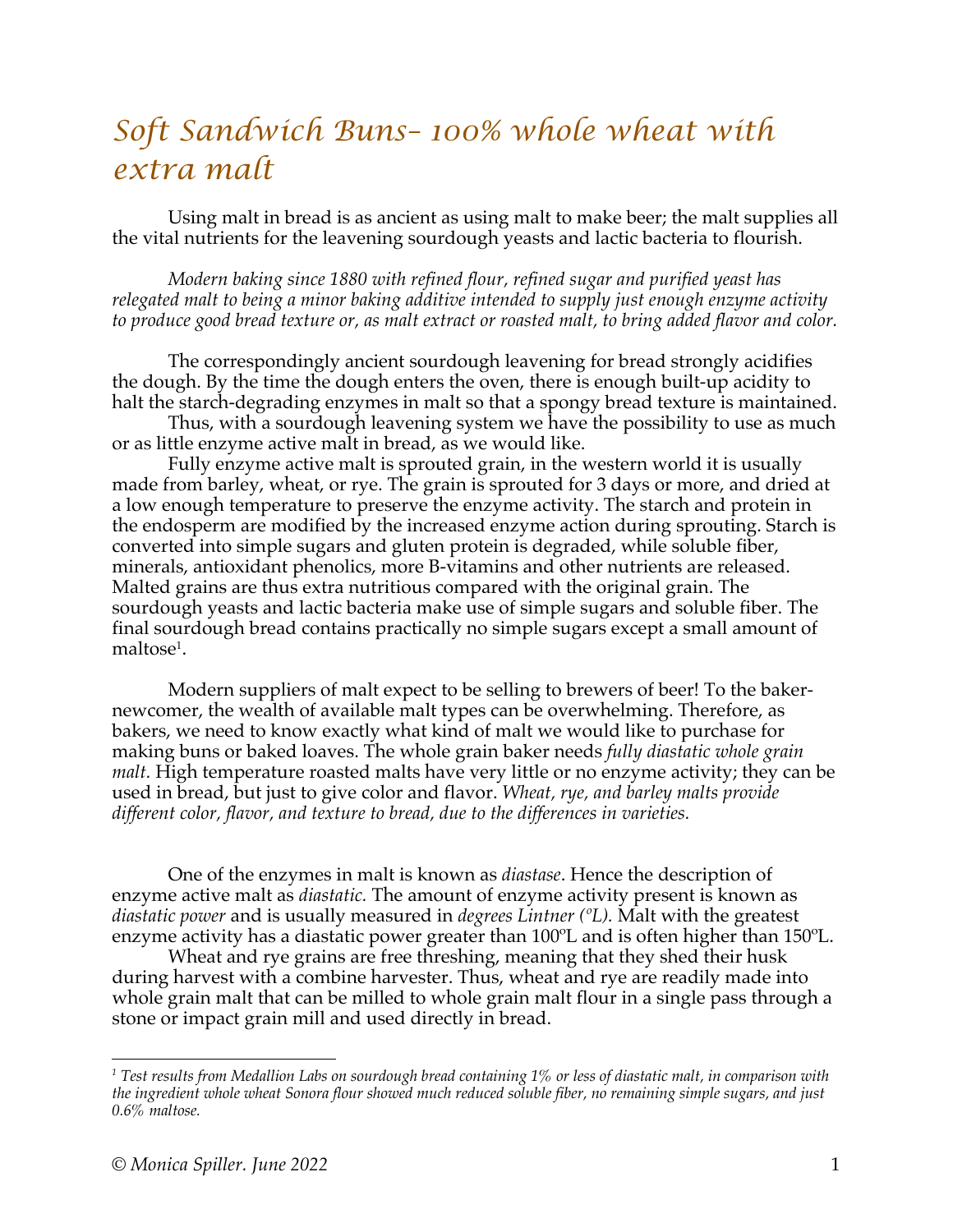## *Soft Sandwich Buns– 100% whole wheat with extra malt*

Using malt in bread is as ancient as using malt to make beer; the malt supplies all the vital nutrients for the leavening sourdough yeasts and lactic bacteria to flourish.

*Modern baking since 1880 with refined flour, refined sugar and purified yeast has relegated malt to being a minor baking additive intended to supply just enough enzyme activity to produce good bread texture or, as malt extract or roasted malt, to bring added flavor and color.*

The correspondingly ancient sourdough leavening for bread strongly acidifies the dough. By the time the dough enters the oven, there is enough built-up acidity to halt the starch-degrading enzymes in malt so that a spongy bread texture is maintained.

Thus, with a sourdough leavening system we have the possibility to use as much or as little enzyme active malt in bread, as we would like.

Fully enzyme active malt is sprouted grain, in the western world it is usually made from barley, wheat, or rye. The grain is sprouted for 3 days or more, and dried at a low enough temperature to preserve the enzyme activity. The starch and protein in the endosperm are modified by the increased enzyme action during sprouting. Starch is converted into simple sugars and gluten protein is degraded, while soluble fiber, minerals, antioxidant phenolics, more B-vitamins and other nutrients are released. Malted grains are thus extra nutritious compared with the original grain. The sourdough yeasts and lactic bacteria make use of simple sugars and soluble fiber. The final sourdough bread contains practically no simple sugars except a small amount of  $\mathrm{malto} \mathrm{se}^{\scriptscriptstyle 1}.$ 

Modern suppliers of malt expect to be selling to brewers of beer! To the bakernewcomer, the wealth of available malt types can be overwhelming. Therefore, as bakers, we need to know exactly what kind of malt we would like to purchase for making buns or baked loaves. The whole grain baker needs *fully diastatic whole grain malt.* High temperature roasted malts have very little or no enzyme activity; they can be used in bread, but just to give color and flavor. *Wheat, rye, and barley malts provide different color, flavor, and texture to bread, due to the differences in varieties.*

One of the enzymes in malt is known as *diastase*. Hence the description of enzyme active malt as *diastatic.* The amount of enzyme activity present is known as *diastatic power* and is usually measured in *degrees Lintner (ºL).* Malt with the greatest enzyme activity has a diastatic power greater than 100ºL and is often higher than 150ºL.

Wheat and rye grains are free threshing, meaning that they shed their husk during harvest with a combine harvester. Thus, wheat and rye are readily made into whole grain malt that can be milled to whole grain malt flour in a single pass through a stone or impact grain mill and used directly in bread.

*<sup>1</sup> Test results from Medallion Labs on sourdough bread containing 1% or less of diastatic malt, in comparison with the ingredient whole wheat Sonora flour showed much reduced soluble fiber, no remaining simple sugars, and just 0.6% maltose.*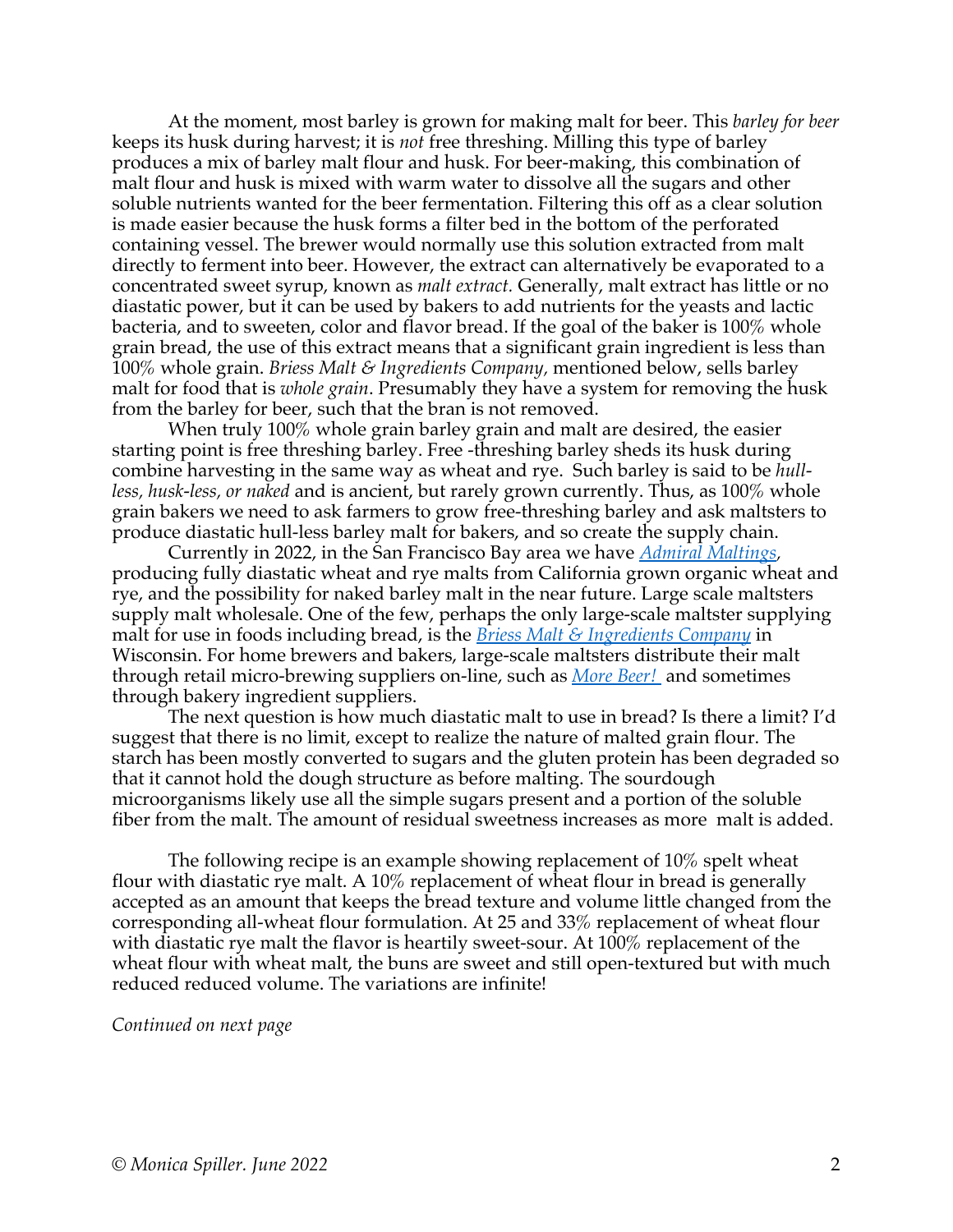At the moment, most barley is grown for making malt for beer. This *barley for beer* keeps its husk during harvest; it is *not* free threshing. Milling this type of barley produces a mix of barley malt flour and husk. For beer-making, this combination of malt flour and husk is mixed with warm water to dissolve all the sugars and other soluble nutrients wanted for the beer fermentation. Filtering this off as a clear solution is made easier because the husk forms a filter bed in the bottom of the perforated containing vessel. The brewer would normally use this solution extracted from malt directly to ferment into beer. However, the extract can alternatively be evaporated to a concentrated sweet syrup, known as *malt extract.* Generally, malt extract has little or no diastatic power, but it can be used by bakers to add nutrients for the yeasts and lactic bacteria, and to sweeten, color and flavor bread. If the goal of the baker is 100% whole grain bread, the use of this extract means that a significant grain ingredient is less than 100% whole grain. *Briess Malt & Ingredients Company,* mentioned below, sells barley malt for food that is *whole grain*. Presumably they have a system for removing the husk from the barley for beer, such that the bran is not removed.

When truly 100% whole grain barley grain and malt are desired, the easier starting point is free threshing barley. Free -threshing barley sheds its husk during combine harvesting in the same way as wheat and rye. Such barley is said to be *hullless, husk-less, or naked* and is ancient, but rarely grown currently. Thus, as 100% whole grain bakers we need to ask farmers to grow free-threshing barley and ask maltsters to produce diastatic hull-less barley malt for bakers, and so create the supply chain.

Currently in 2022, in the San Francisco Bay area we have *Admiral Maltings,* producing fully diastatic wheat and rye malts from California grown organic wheat and rye, and the possibility for naked barley malt in the near future. Large scale maltsters supply malt wholesale. One of the few, perhaps the only large-scale maltster supplying malt for use in foods including bread, is the *Briess Malt & Ingredients Company* in Wisconsin. For home brewers and bakers, large-scale maltsters distribute their malt through retail micro-brewing suppliers on-line, such as *More Beer!* and sometimes through bakery ingredient suppliers.

The next question is how much diastatic malt to use in bread? Is there a limit? I'd suggest that there is no limit, except to realize the nature of malted grain flour. The starch has been mostly converted to sugars and the gluten protein has been degraded so that it cannot hold the dough structure as before malting. The sourdough microorganisms likely use all the simple sugars present and a portion of the soluble fiber from the malt. The amount of residual sweetness increases as more malt is added.

The following recipe is an example showing replacement of 10% spelt wheat flour with diastatic rye malt. A  $10\%$  replacement of wheat flour in bread is generally accepted as an amount that keeps the bread texture and volume little changed from the corresponding all-wheat flour formulation. At 25 and 33% replacement of wheat flour with diastatic rye malt the flavor is heartily sweet-sour. At 100% replacement of the wheat flour with wheat malt, the buns are sweet and still open-textured but with much reduced reduced volume. The variations are infinite!

*Continued on next page*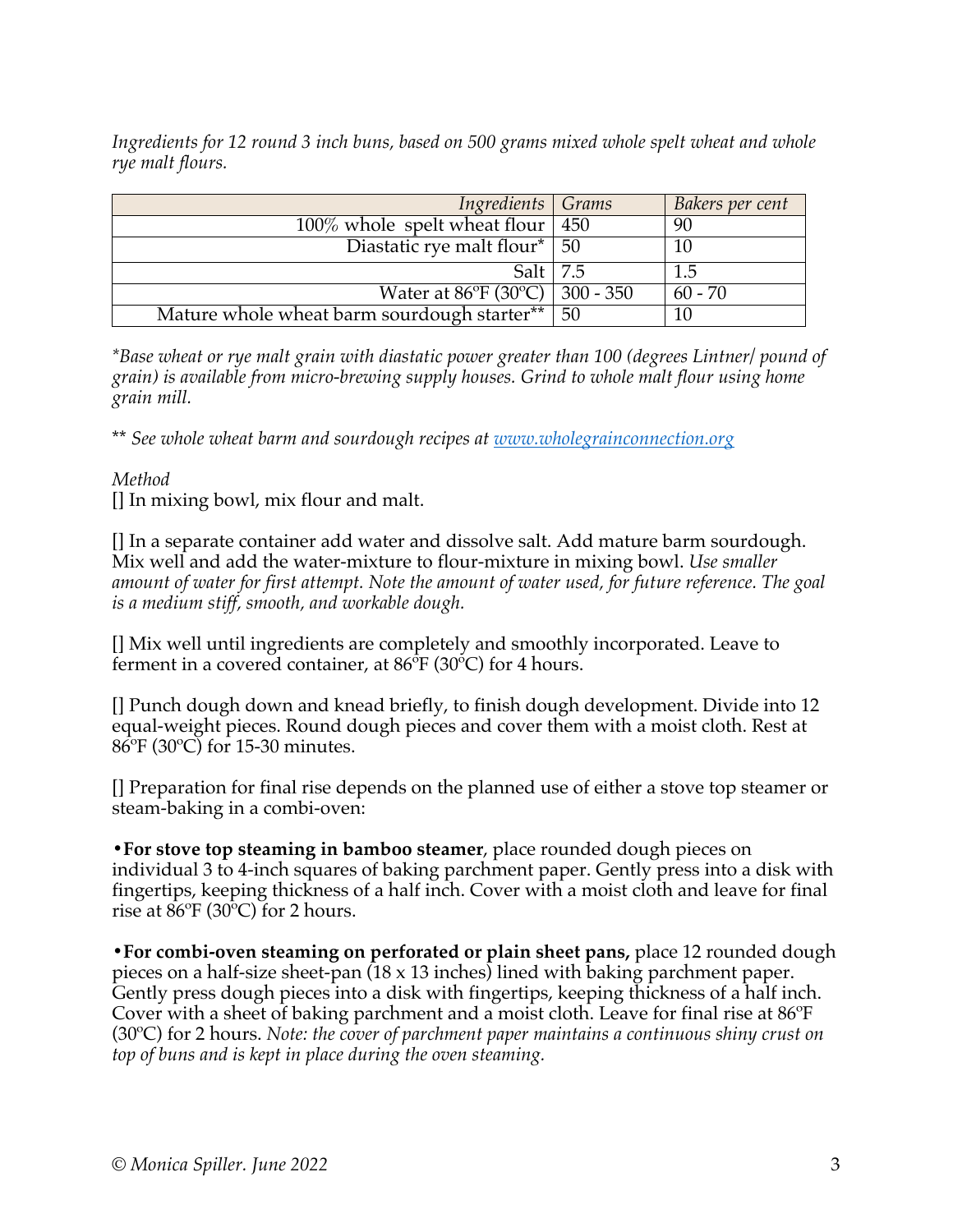*Ingredients for 12 round 3 inch buns, based on 500 grams mixed whole spelt wheat and whole rye malt flours.*

| Ingredients Grams                               |    | Bakers per cent |
|-------------------------------------------------|----|-----------------|
| $100\%$ whole spelt wheat flour   450           |    | 90              |
| Diastatic rye malt flour* 50                    |    |                 |
| Salt $\vert$ 7.5                                |    | 1.5             |
| Water at $86^{\circ}F(30^{\circ}C)$   300 - 350 |    | $60 - 70$       |
| Mature whole wheat barm sourdough starter**     | 50 |                 |

*\*Base wheat or rye malt grain with diastatic power greater than 100 (degrees Lintner/ pound of grain) is available from micro-brewing supply houses. Grind to whole malt flour using home grain mill.*

\*\* *See whole wheat barm and sourdough recipes at www.wholegrainconnection.org*

## *Method*

[] In mixing bowl, mix flour and malt.

[] In a separate container add water and dissolve salt. Add mature barm sourdough. Mix well and add the water-mixture to flour-mixture in mixing bowl. *Use smaller amount of water for first attempt. Note the amount of water used, for future reference. The goal is a medium stiff, smooth, and workable dough.*

[] Mix well until ingredients are completely and smoothly incorporated. Leave to ferment in a covered container, at  $86^{\circ}F(30^{\circ}C)$  for 4 hours.

[] Punch dough down and knead briefly, to finish dough development. Divide into 12 equal-weight pieces. Round dough pieces and cover them with a moist cloth. Rest at 86ºF (30ºC) for 15-30 minutes.

[] Preparation for final rise depends on the planned use of either a stove top steamer or steam-baking in a combi-oven:

**•For stove top steaming in bamboo steamer**, place rounded dough pieces on individual 3 to 4-inch squares of baking parchment paper. Gently press into a disk with fingertips, keeping thickness of a half inch. Cover with a moist cloth and leave for final rise at 86ºF (30ºC) for 2 hours.

**•For combi-oven steaming on perforated or plain sheet pans,** place 12 rounded dough pieces on a half-size sheet-pan (18 x 13 inches) lined with baking parchment paper. Gently press dough pieces into a disk with fingertips, keeping thickness of a half inch. Cover with a sheet of baking parchment and a moist cloth. Leave for final rise at 86ºF (30ºC) for 2 hours. *Note: the cover of parchment paper maintains a continuous shiny crust on top of buns and is kept in place during the oven steaming.*